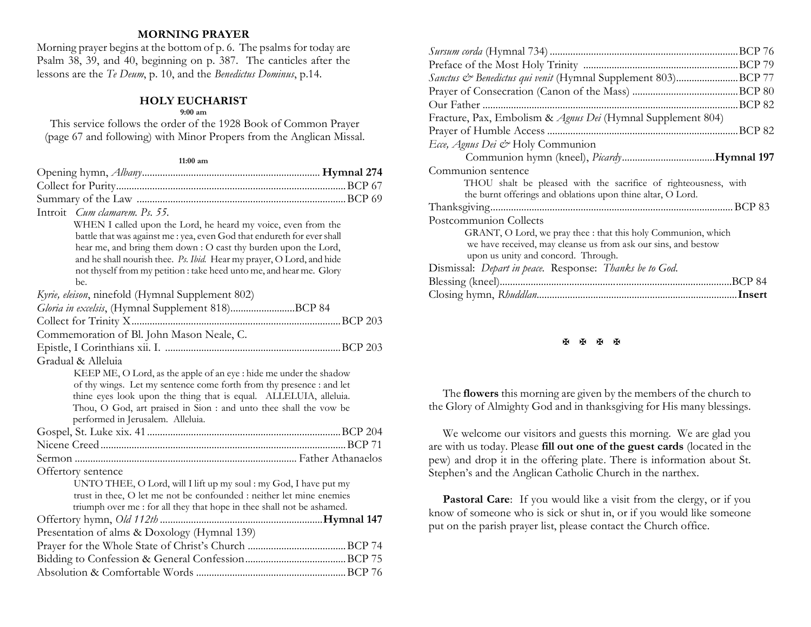### **MORNING PRAYER**

Morning prayer begins at the bottom of p. 6. The psalms for today are Psalm 38, 39, and 40, beginning on p. 387. The canticles after the lessons are the *Te Deum*, p. 10, and the *Benedictus Dominus*, p.14.

## **HOLY EUCHARIST**

#### **9:00 am**

This service follows the order of the 1928 Book of Common Prayer (page 67 and following) with Minor Propers from the Anglican Missal.

#### **11:00 am**

| Introit Cum clamarem. Ps. 55.                                                                                                             |  |
|-------------------------------------------------------------------------------------------------------------------------------------------|--|
| WHEN I called upon the Lord, he heard my voice, even from the                                                                             |  |
| battle that was against me : yea, even God that endureth for ever shall                                                                   |  |
| hear me, and bring them down : O cast thy burden upon the Lord,                                                                           |  |
| and he shall nourish thee. Ps. Ibid. Hear my prayer, O Lord, and hide                                                                     |  |
| not thyself from my petition : take heed unto me, and hear me. Glory                                                                      |  |
| be.                                                                                                                                       |  |
| Kyrie, eleison, ninefold (Hymnal Supplement 802)                                                                                          |  |
| Gloria in excelsis, (Hymnal Supplement 818)BCP 84                                                                                         |  |
|                                                                                                                                           |  |
| Commemoration of Bl. John Mason Neale, C.                                                                                                 |  |
|                                                                                                                                           |  |
| Gradual & Alleluia                                                                                                                        |  |
| KEEP ME, O Lord, as the apple of an eye : hide me under the shadow                                                                        |  |
| of thy wings. Let my sentence come forth from thy presence : and let                                                                      |  |
| thine eyes look upon the thing that is equal. ALLELUIA, alleluia.                                                                         |  |
| Thou, O God, art praised in Sion : and unto thee shall the vow be<br>performed in Jerusalem. Alleluia.                                    |  |
|                                                                                                                                           |  |
|                                                                                                                                           |  |
|                                                                                                                                           |  |
|                                                                                                                                           |  |
| Offertory sentence                                                                                                                        |  |
| UNTO THEE, O Lord, will I lift up my soul : my God, I have put my<br>trust in thee, O let me not be confounded : neither let mine enemies |  |
| triumph over me : for all they that hope in thee shall not be ashamed.                                                                    |  |
|                                                                                                                                           |  |
| Presentation of alms & Doxology (Hymnal 139)                                                                                              |  |
|                                                                                                                                           |  |
|                                                                                                                                           |  |
|                                                                                                                                           |  |
|                                                                                                                                           |  |

| Sanctus & Benedictus qui venit (Hymnal Supplement 803)BCP 77    |  |
|-----------------------------------------------------------------|--|
|                                                                 |  |
|                                                                 |  |
| Fracture, Pax, Embolism & Agnus Dei (Hymnal Supplement 804)     |  |
|                                                                 |  |
| Ecce, Agnus Dei & Holy Communion                                |  |
|                                                                 |  |
| Communion sentence                                              |  |
| THOU shalt be pleased with the sacrifice of righteousness, with |  |
| the burnt offerings and oblations upon thine altar, O Lord.     |  |
|                                                                 |  |
| Postcommunion Collects                                          |  |
| GRANT, O Lord, we pray thee : that this holy Communion, which   |  |
| we have received, may cleanse us from ask our sins, and bestow  |  |
| upon us unity and concord. Through.                             |  |
| Dismissal: Depart in peace. Response: Thanks be to God.         |  |
|                                                                 |  |
|                                                                 |  |

#### **H H H H**

The **flowers** this morning are given by the members of the church to the Glory of Almighty God and in thanksgiving for His many blessings.

We welcome our visitors and guests this morning. We are glad you are with us today. Please **fill out one of the guest cards** (located in the pew) and drop it in the offering plate. There is information about St. Stephen's and the Anglican Catholic Church in the narthex.

Pastoral Care: If you would like a visit from the clergy, or if you know of someone who is sick or shut in, or if you would like someone put on the parish prayer list, please contact the Church office.